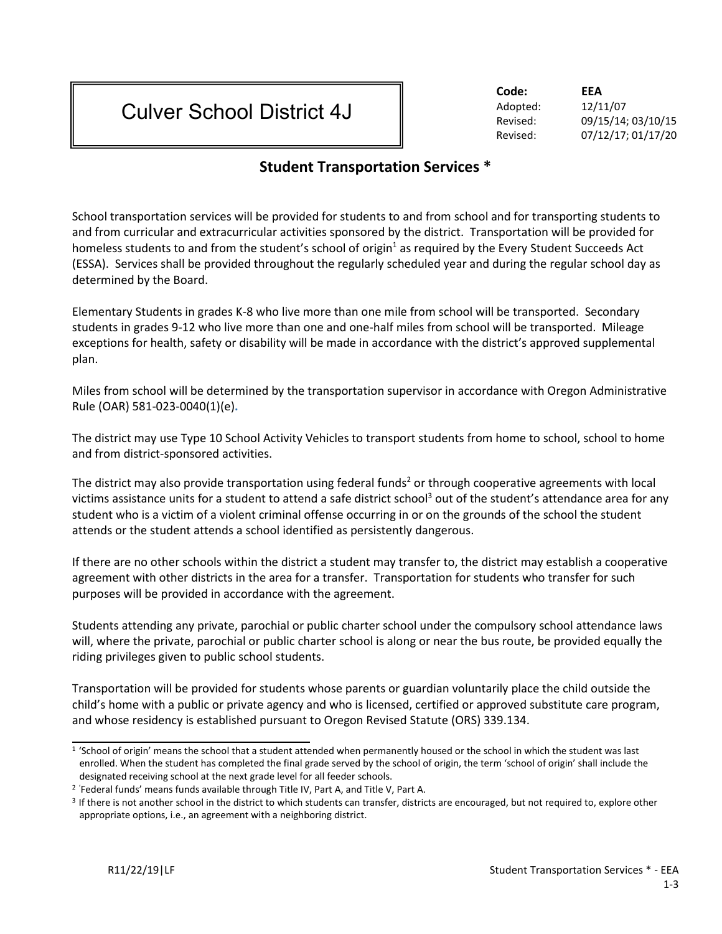## Culver School District 4J

**Code: EEA** Adopted: 12/11/07

Revised: 09/15/14; 03/10/15 Revised: 07/12/17; 01/17/20

## **Student Transportation Services \***

School transportation services will be provided for students to and from school and for transporting students to and from curricular and extracurricular activities sponsored by the district. Transportation will be provided for homeless students to and from the student's school of origin $<sup>1</sup>$  as required by the Every Student Succeeds Act</sup> (ESSA). Services shall be provided throughout the regularly scheduled year and during the regular school day as determined by the Board.

Elementary Students in grades K-8 who live more than one mile from school will be transported. Secondary students in grades 9-12 who live more than one and one-half miles from school will be transported. Mileage exceptions for health, safety or disability will be made in accordance with the district's approved supplemental plan.

Miles from school will be determined by the transportation supervisor in accordance with Oregon Administrative Rule (OAR) 581-023-0040(1)(e)**.**

The district may use Type 10 School Activity Vehicles to transport students from home to school, school to home and from district-sponsored activities.

The district may also provide transportation using federal funds<sup>2</sup> or through cooperative agreements with local victims assistance units for a student to attend a safe district school<sup>3</sup> out of the student's attendance area for any student who is a victim of a violent criminal offense occurring in or on the grounds of the school the student attends or the student attends a school identified as persistently dangerous.

If there are no other schools within the district a student may transfer to, the district may establish a cooperative agreement with other districts in the area for a transfer. Transportation for students who transfer for such purposes will be provided in accordance with the agreement.

Students attending any private, parochial or public charter school under the compulsory school attendance laws will, where the private, parochial or public charter school is along or near the bus route, be provided equally the riding privileges given to public school students.

Transportation will be provided for students whose parents or guardian voluntarily place the child outside the child's home with a public or private agency and who is licensed, certified or approved substitute care program, and whose residency is established pursuant to Oregon Revised Statute (ORS) 339.134.

<sup>&</sup>lt;sup>1</sup> 'School of origin' means the school that a student attended when permanently housed or the school in which the student was last enrolled. When the student has completed the final grade served by the school of origin, the term 'school of origin' shall include the designated receiving school at the next grade level for all feeder schools.

<sup>&</sup>lt;sup>2</sup> 'Federal funds' means funds available through Title IV, Part A, and Title V, Part A.

<sup>&</sup>lt;sup>3</sup> If there is not another school in the district to which students can transfer, districts are encouraged, but not required to, explore other appropriate options, i.e., an agreement with a neighboring district.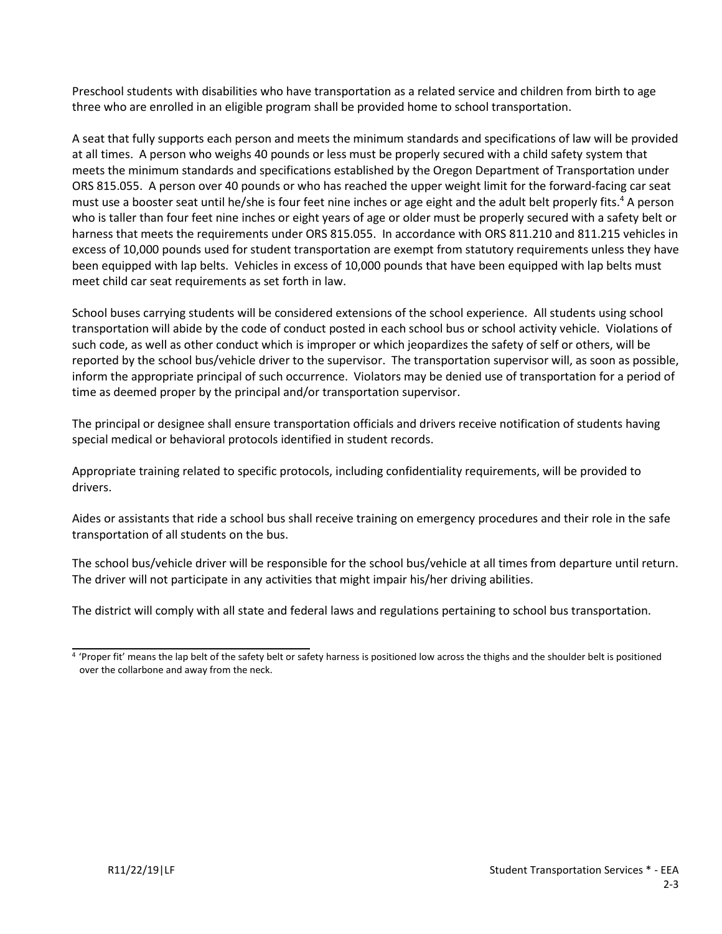Preschool students with disabilities who have transportation as a related service and children from birth to age three who are enrolled in an eligible program shall be provided home to school transportation.

A seat that fully supports each person and meets the minimum standards and specifications of law will be provided at all times. A person who weighs 40 pounds or less must be properly secured with a child safety system that meets the minimum standards and specifications established by the Oregon Department of Transportation under ORS 815.055. A person over 40 pounds or who has reached the upper weight limit for the forward-facing car seat must use a booster seat until he/she is four feet nine inches or age eight and the adult belt properly fits.<sup>4</sup> A person who is taller than four feet nine inches or eight years of age or older must be properly secured with a safety belt or harness that meets the requirements under ORS 815.055. In accordance with ORS 811.210 and 811.215 vehicles in excess of 10,000 pounds used for student transportation are exempt from statutory requirements unless they have been equipped with lap belts. Vehicles in excess of 10,000 pounds that have been equipped with lap belts must meet child car seat requirements as set forth in law.

School buses carrying students will be considered extensions of the school experience. All students using school transportation will abide by the code of conduct posted in each school bus or school activity vehicle. Violations of such code, as well as other conduct which is improper or which jeopardizes the safety of self or others, will be reported by the school bus/vehicle driver to the supervisor. The transportation supervisor will, as soon as possible, inform the appropriate principal of such occurrence. Violators may be denied use of transportation for a period of time as deemed proper by the principal and/or transportation supervisor.

The principal or designee shall ensure transportation officials and drivers receive notification of students having special medical or behavioral protocols identified in student records.

Appropriate training related to specific protocols, including confidentiality requirements, will be provided to drivers.

Aides or assistants that ride a school bus shall receive training on emergency procedures and their role in the safe transportation of all students on the bus.

The school bus/vehicle driver will be responsible for the school bus/vehicle at all times from departure until return. The driver will not participate in any activities that might impair his/her driving abilities.

The district will comply with all state and federal laws and regulations pertaining to school bus transportation.

<sup>&</sup>lt;sup>4</sup> 'Proper fit' means the lap belt of the safety belt or safety harness is positioned low across the thighs and the shoulder belt is positioned over the collarbone and away from the neck.